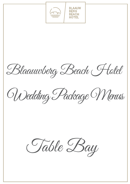

Blaauwberg Beach Hotel

Wedding Package Menus

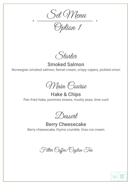Set Menu

Option 1

Starter

#### Smoked Salmon Norwegian smoked salmon, fennel cream, crispy capers, pickled onion

Main Course

Hake & Chips Pan fried hake, pommes straws, mushy peas, lime curd

Dessert

Berry Cheesecake Berry cheesecake, thyme crumble, Oreo ice cream



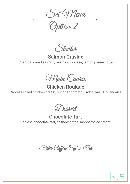Set Menu

Option 2

Starter

Salmon Gravlax Charcoal cured salmon, beetroot mousse, lemon panna cotta

Main Course

Chicken Roulade Caprese rolled chicken breast, sundried tomato risotto, basil Hollandaise

Dessert

Chocolate Tart Eggless chocolate tart, cashew brittle, raspberry ice cream

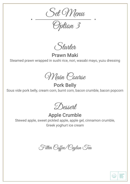Set Menu

Option 3

Starter

Prawn Maki

Steamed prawn wrapped in sushi rice, nori, wasabi mayo, yuzu dressing

Main Course

Pork Belly

Sous vide pork belly, cream corn, burnt corn, bacon crumble, bacon popcorn

Dessert

Apple Crumble

Stewed apple, sweet pickled apple, apple gel, cinnamon crumble, Greek yoghurt ice cream



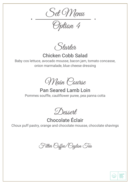Set Menu

Option 4

Starter

Chicken Cobb Salad

Baby cos lettuce, avocado mousse, bacon jam, tomato concasse, onion marmalade, blue cheese dressing

Main Course

Pan Seared Lamb Loin Pommes souffle, cauliflower puree, pea panna cotta

Dessert

Chocolate Éclair Choux puff pastry, orange and chocolate mousse, chocolate shavings



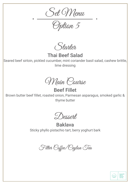Set Menu

Option 5

Starter

Thai Beef Salad

Seared beef sirloin, pickled cucumber, mint coriander basil salad, cashew brittle, lime dressing

Main Course

Beef Fillet

Brown butter beef fillet, roasted onion, Parmesan asparagus, smoked garlic & thyme butter

Dessert

Baklava Sticky phyllo pistachio tart, berry yoghurt bark



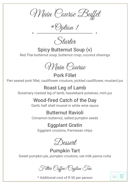Main Course Buffet

\*Option 1

Stahten.

Spicy Butternut Soup (v) Red Thai butternut soup, butternut crisp, coconut shavings

Main Course

Pork Fillet Pan seared pork fillet, cauliflower croutons, pickled cauliflower, mustard jus

## Roast Leg of Lamb

Rosemary roasted leg of lamb, hassleback potatoes, mint jus

# Wood-fired Catch of the Day

Garlic half shell mussel in white wine sauce

## Butternut Ravioli

Cinnamon butternut, salted pumpkin seeds

## Eggplant Gratin

Eggplant croutons, Parmesan chips

Dessert

Pumpkin Tart Sweet pumpkin pie, pumpkin croutons, oat milk panna cotta

Filter Coffee/Ceylon Tea

\* Additional cost of R 50 per person

**BLAAUW<br>BERG<br>BEACH<br>HOTEL** 

ختتيا